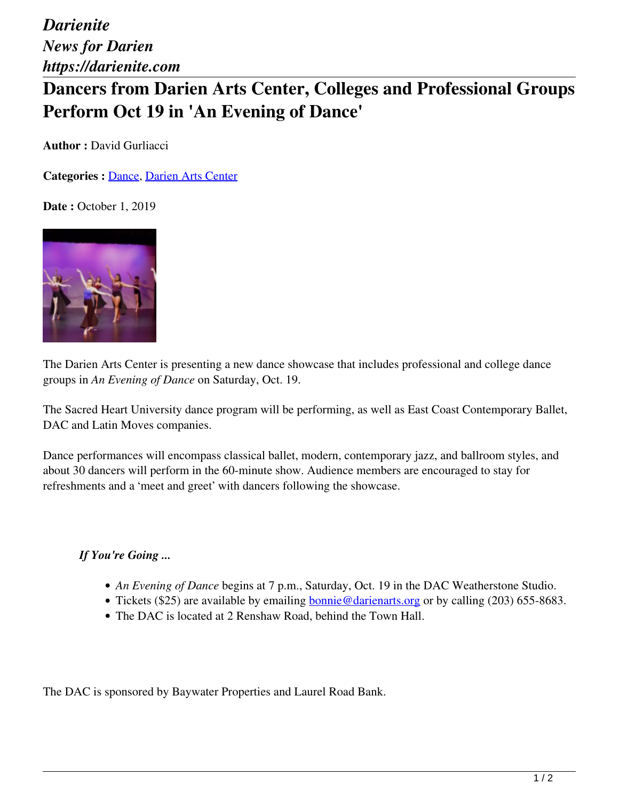*Darienite News for Darien https://darienite.com*

## **Dancers from Darien Arts Center, Colleges and Professional Groups Perform Oct 19 in 'An Evening of Dance'**

**Author : David Gurliacci** 

**Categories :** [Dance,](https://darienite.com/category/arts-entertainment/dance) Darien Arts Center

**Date : October 1, 2019** 



The Darien Arts Center is presenting a new dance showcase that includes professional and college dance groups in *An Evening of Dance* on Saturday, Oct. 19.

The Sacred Heart University dance program will be performing, as well as East Coast Contemporary Ballet, DAC and Latin Moves companies.

Dance performances will encompass classical ballet, modern, contemporary jazz, and ballroom styles, and about 30 dancers will perform in the 60-minute show. Audience members are encouraged to stay for refreshments and a 'meet and greet' with dancers following the showcase.

## *If You're Going ...*

- *An Evening of Dance* begins at 7 p.m., Saturday, Oct. 19 in the DAC Weatherstone Studio.
- Tickets (\$25) are available by emailing bonnie@darienarts.org or by calling (203) 655-8683.
- The DAC is located at 2 Renshaw Road, behind the Town Hall.

The DAC is sponsored by Baywater Properties and Laurel Road Bank.